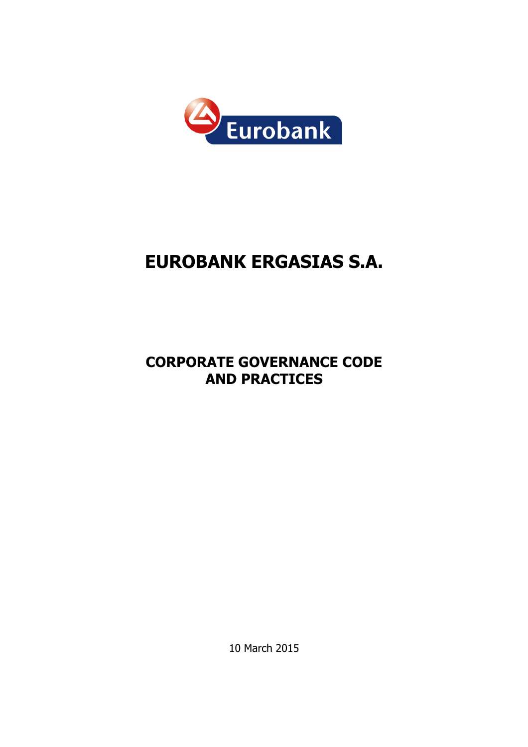

# EUROBANK ERGASIΑS S.A.

# CORPORATE GOVERNANCE CODE AND PRACTICES

10 March 2015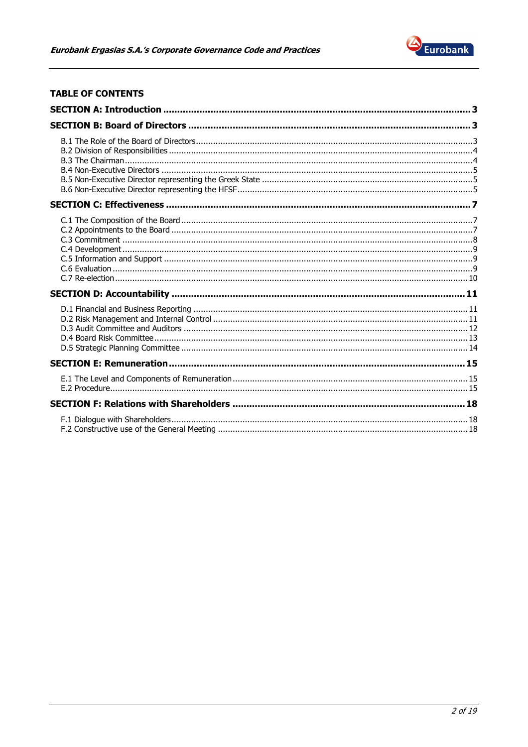

# **TABLE OF CONTENTS**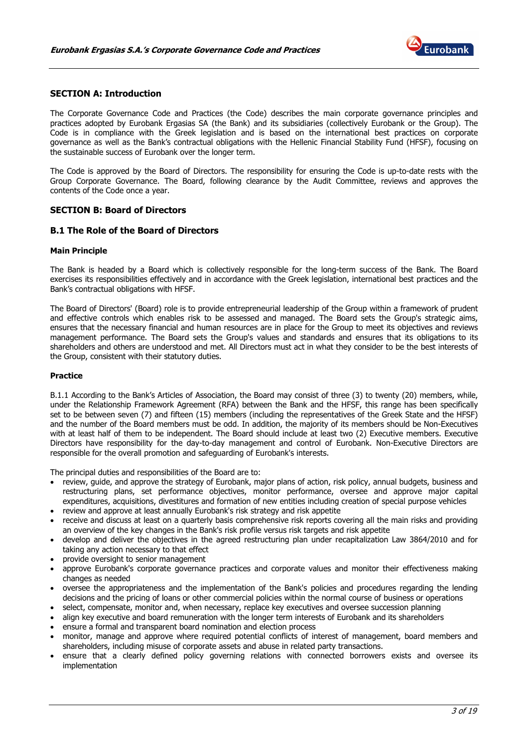

# SECTION A: Introduction

The Corporate Governance Code and Practices (the Code) describes the main corporate governance principles and practices adopted by Eurobank Ergasias SA (the Bank) and its subsidiaries (collectively Eurobank or the Group). The Code is in compliance with the Greek legislation and is based on the international best practices on corporate governance as well as the Bank's contractual obligations with the Hellenic Financial Stability Fund (HFSF), focusing on the sustainable success of Eurobank over the longer term.

The Code is approved by the Board of Directors. The responsibility for ensuring the Code is up-to-date rests with the Group Corporate Governance. The Board, following clearance by the Audit Committee, reviews and approves the contents of the Code once a year.

# SECTION B: Board of Directors

# B.1 The Role of the Board of Directors

#### Main Principle

The Bank is headed by a Board which is collectively responsible for the long-term success of the Bank. The Board exercises its responsibilities effectively and in accordance with the Greek legislation, international best practices and the Bank's contractual obligations with HFSF.

The Board of Directors' (Board) role is to provide entrepreneurial leadership of the Group within a framework of prudent and effective controls which enables risk to be assessed and managed. The Board sets the Group's strategic aims, ensures that the necessary financial and human resources are in place for the Group to meet its objectives and reviews management performance. The Board sets the Group's values and standards and ensures that its obligations to its shareholders and others are understood and met. All Directors must act in what they consider to be the best interests of the Group, consistent with their statutory duties.

#### Practice

B.1.1 According to the Bank's Articles of Association, the Board may consist of three (3) to twenty (20) members, while, under the Relationship Framework Agreement (RFA) between the Bank and the HFSF, this range has been specifically set to be between seven (7) and fifteen (15) members (including the representatives of the Greek State and the HFSF) and the number of the Board members must be odd. In addition, the majority of its members should be Non-Executives with at least half of them to be independent. The Board should include at least two (2) Executive members. Executive Directors have responsibility for the day-to-day management and control of Eurobank. Non-Executive Directors are responsible for the overall promotion and safeguarding of Eurobank's interests.

The principal duties and responsibilities of the Board are to:

- review, guide, and approve the strategy of Eurobank, major plans of action, risk policy, annual budgets, business and restructuring plans, set performance objectives, monitor performance, oversee and approve major capital expenditures, acquisitions, divestitures and formation of new entities including creation of special purpose vehicles
- review and approve at least annually Eurobank's risk strategy and risk appetite
- receive and discuss at least on a quarterly basis comprehensive risk reports covering all the main risks and providing an overview of the key changes in the Bank's risk profile versus risk targets and risk appetite
- develop and deliver the objectives in the agreed restructuring plan under recapitalization Law 3864/2010 and for taking any action necessary to that effect
- provide oversight to senior management
- approve Eurobank's corporate governance practices and corporate values and monitor their effectiveness making changes as needed
- oversee the appropriateness and the implementation of the Bank's policies and procedures regarding the lending decisions and the pricing of loans or other commercial policies within the normal course of business or operations
- select, compensate, monitor and, when necessary, replace key executives and oversee succession planning
- align key executive and board remuneration with the longer term interests of Eurobank and its shareholders
- ensure a formal and transparent board nomination and election process
- monitor, manage and approve where required potential conflicts of interest of management, board members and shareholders, including misuse of corporate assets and abuse in related party transactions.
- ensure that a clearly defined policy governing relations with connected borrowers exists and oversee its implementation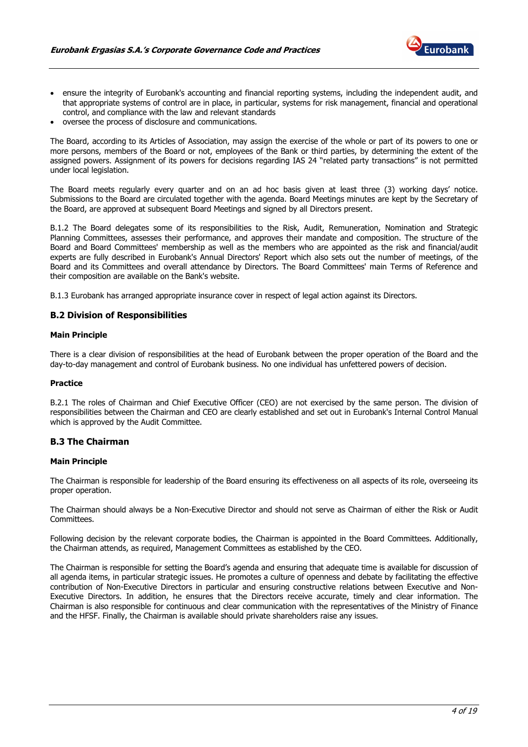

- ensure the integrity of Eurobank's accounting and financial reporting systems, including the independent audit, and that appropriate systems of control are in place, in particular, systems for risk management, financial and operational control, and compliance with the law and relevant standards
- oversee the process of disclosure and communications.

The Board, according to its Articles of Association, may assign the exercise of the whole or part of its powers to one or more persons, members of the Board or not, employees of the Bank or third parties, by determining the extent of the assigned powers. Assignment of its powers for decisions regarding IAS 24 "related party transactions" is not permitted under local legislation.

The Board meets regularly every quarter and on an ad hoc basis given at least three (3) working days' notice. Submissions to the Board are circulated together with the agenda. Board Meetings minutes are kept by the Secretary of the Board, are approved at subsequent Board Meetings and signed by all Directors present.

B.1.2 The Board delegates some of its responsibilities to the Risk, Audit, Remuneration, Nomination and Strategic Planning Committees, assesses their performance, and approves their mandate and composition. The structure of the Board and Board Committees' membership as well as the members who are appointed as the risk and financial/audit experts are fully described in Eurobank's Annual Directors' Report which also sets out the number of meetings, of the Board and its Committees and overall attendance by Directors. The Board Committees' main Terms of Reference and their composition are available on the Bank's website.

B.1.3 Eurobank has arranged appropriate insurance cover in respect of legal action against its Directors.

#### B.2 Division of Responsibilities

#### Main Principle

There is a clear division of responsibilities at the head of Eurobank between the proper operation of the Board and the day-to-day management and control of Eurobank business. No one individual has unfettered powers of decision.

#### Practice

B.2.1 The roles of Chairman and Chief Executive Officer (CEO) are not exercised by the same person. The division of responsibilities between the Chairman and CEO are clearly established and set out in Eurobank's Internal Control Manual which is approved by the Audit Committee.

## B.3 The Chairman

#### Main Principle

The Chairman is responsible for leadership of the Board ensuring its effectiveness on all aspects of its role, overseeing its proper operation.

The Chairman should always be a Non-Executive Director and should not serve as Chairman of either the Risk or Audit Committees.

Following decision by the relevant corporate bodies, the Chairman is appointed in the Board Committees. Additionally, the Chairman attends, as required, Management Committees as established by the CEO.

The Chairman is responsible for setting the Board's agenda and ensuring that adequate time is available for discussion of all agenda items, in particular strategic issues. He promotes a culture of openness and debate by facilitating the effective contribution of Non-Executive Directors in particular and ensuring constructive relations between Executive and Non-Executive Directors. In addition, he ensures that the Directors receive accurate, timely and clear information. The Chairman is also responsible for continuous and clear communication with the representatives of the Ministry of Finance and the HFSF. Finally, the Chairman is available should private shareholders raise any issues.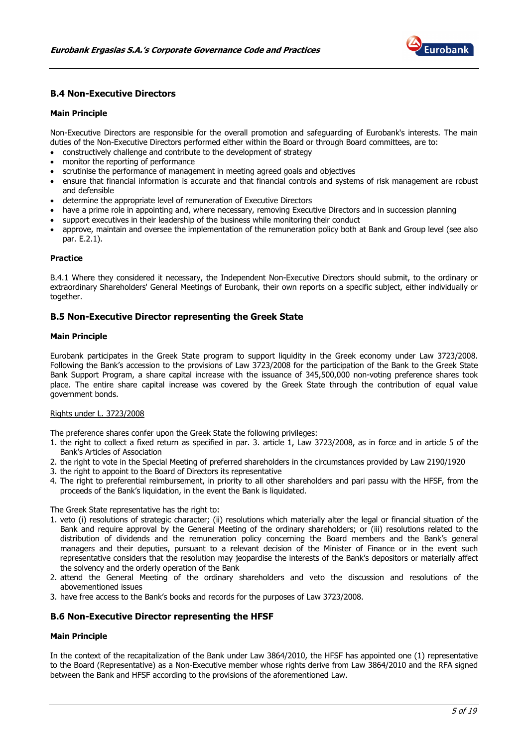

# B.4 Non-Executive Directors

#### Main Principle

Non-Executive Directors are responsible for the overall promotion and safeguarding of Eurobank's interests. The main duties of the Non-Executive Directors performed either within the Board or through Board committees, are to:

- constructively challenge and contribute to the development of strategy
- monitor the reporting of performance
- scrutinise the performance of management in meeting agreed goals and objectives
- ensure that financial information is accurate and that financial controls and systems of risk management are robust and defensible
- determine the appropriate level of remuneration of Executive Directors
- have a prime role in appointing and, where necessary, removing Executive Directors and in succession planning
- support executives in their leadership of the business while monitoring their conduct
- approve, maintain and oversee the implementation of the remuneration policy both at Bank and Group level (see also par. E.2.1).

#### Practice

B.4.1 Where they considered it necessary, the Independent Non-Executive Directors should submit, to the ordinary or extraordinary Shareholders' General Meetings of Eurobank, their own reports on a specific subject, either individually or together.

#### B.5 Non-Executive Director representing the Greek State

#### Main Principle

Eurobank participates in the Greek State program to support liquidity in the Greek economy under Law 3723/2008. Following the Bank's accession to the provisions of Law 3723/2008 for the participation of the Bank to the Greek State Bank Support Program, a share capital increase with the issuance of 345,500,000 non-voting preference shares took place. The entire share capital increase was covered by the Greek State through the contribution of equal value government bonds.

#### Rights under L. 3723/2008

The preference shares confer upon the Greek State the following privileges:

- 1. the right to collect a fixed return as specified in par. 3. article 1, Law 3723/2008, as in force and in article 5 of the Bank's Articles of Association
- 2. the right to vote in the Special Meeting of preferred shareholders in the circumstances provided by Law 2190/1920
- 3. the right to appoint to the Board of Directors its representative
- 4. The right to preferential reimbursement, in priority to all other shareholders and pari passu with the HFSF, from the proceeds of the Bank's liquidation, in the event the Bank is liquidated.

The Greek State representative has the right to:

- 1. veto (i) resolutions of strategic character; (ii) resolutions which materially alter the legal or financial situation of the Bank and require approval by the General Meeting of the ordinary shareholders; or (iii) resolutions related to the distribution of dividends and the remuneration policy concerning the Board members and the Bank's general managers and their deputies, pursuant to a relevant decision of the Minister of Finance or in the event such representative considers that the resolution may jeopardise the interests of the Bank's depositors or materially affect the solvency and the orderly operation of the Bank
- 2. attend the General Meeting of the ordinary shareholders and veto the discussion and resolutions of the abovementioned issues
- 3. have free access to the Bank's books and records for the purposes of Law 3723/2008.

#### B.6 Non-Executive Director representing the HFSF

#### Main Principle

In the context of the recapitalization of the Bank under Law 3864/2010, the HFSF has appointed one (1) representative to the Board (Representative) as a Non-Executive member whose rights derive from Law 3864/2010 and the RFA signed between the Bank and HFSF according to the provisions of the aforementioned Law.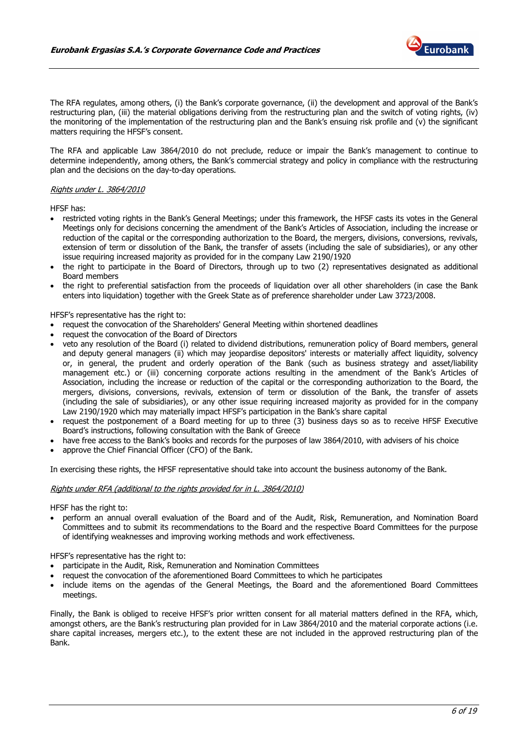

The RFA regulates, among others, (i) the Bank's corporate governance, (ii) the development and approval of the Bank's restructuring plan, (iii) the material obligations deriving from the restructuring plan and the switch of voting rights, (iv) the monitoring of the implementation of the restructuring plan and the Bank's ensuing risk profile and (v) the significant matters requiring the HFSF's consent.

The RFA and applicable Law 3864/2010 do not preclude, reduce or impair the Bank's management to continue to determine independently, among others, the Bank's commercial strategy and policy in compliance with the restructuring plan and the decisions on the day-to-day operations.

#### Rights under L. 3864/2010

HFSF has:

- restricted voting rights in the Bank's General Meetings; under this framework, the HFSF casts its votes in the General Meetings only for decisions concerning the amendment of the Bank's Articles of Association, including the increase or reduction of the capital or the corresponding authorization to the Board, the mergers, divisions, conversions, revivals, extension of term or dissolution of the Bank, the transfer of assets (including the sale of subsidiaries), or any other issue requiring increased majority as provided for in the company Law 2190/1920
- the right to participate in the Board of Directors, through up to two (2) representatives designated as additional Board members
- the right to preferential satisfaction from the proceeds of liquidation over all other shareholders (in case the Bank enters into liquidation) together with the Greek State as of preference shareholder under Law 3723/2008.

HFSF's representative has the right to:

- request the convocation of the Shareholders' General Meeting within shortened deadlines
- request the convocation of the Board of Directors
- veto any resolution of the Board (i) related to dividend distributions, remuneration policy of Board members, general and deputy general managers (ii) which may jeopardise depositors' interests or materially affect liquidity, solvency or, in general, the prudent and orderly operation of the Bank (such as business strategy and asset/liability management etc.) or (iii) concerning corporate actions resulting in the amendment of the Bank's Articles of Association, including the increase or reduction of the capital or the corresponding authorization to the Board, the mergers, divisions, conversions, revivals, extension of term or dissolution of the Bank, the transfer of assets (including the sale of subsidiaries), or any other issue requiring increased majority as provided for in the company Law 2190/1920 which may materially impact HFSF's participation in the Bank's share capital
- request the postponement of a Board meeting for up to three (3) business days so as to receive HFSF Executive Board's instructions, following consultation with the Bank of Greece
- have free access to the Bank's books and records for the purposes of law 3864/2010, with advisers of his choice
- approve the Chief Financial Officer (CFO) of the Bank.

In exercising these rights, the HFSF representative should take into account the business autonomy of the Bank.

#### Rights under RFA (additional to the rights provided for in L. 3864/2010)

HFSF has the right to:

• perform an annual overall evaluation of the Board and of the Audit, Risk, Remuneration, and Nomination Board Committees and to submit its recommendations to the Board and the respective Board Committees for the purpose of identifying weaknesses and improving working methods and work effectiveness.

HFSF's representative has the right to:

- participate in the Audit, Risk, Remuneration and Nomination Committees
- request the convocation of the aforementioned Board Committees to which he participates
- include items on the agendas of the General Meetings, the Board and the aforementioned Board Committees meetings.

Finally, the Bank is obliged to receive HFSF's prior written consent for all material matters defined in the RFA, which, amongst others, are the Bank's restructuring plan provided for in Law 3864/2010 and the material corporate actions (i.e. share capital increases, mergers etc.), to the extent these are not included in the approved restructuring plan of the Bank.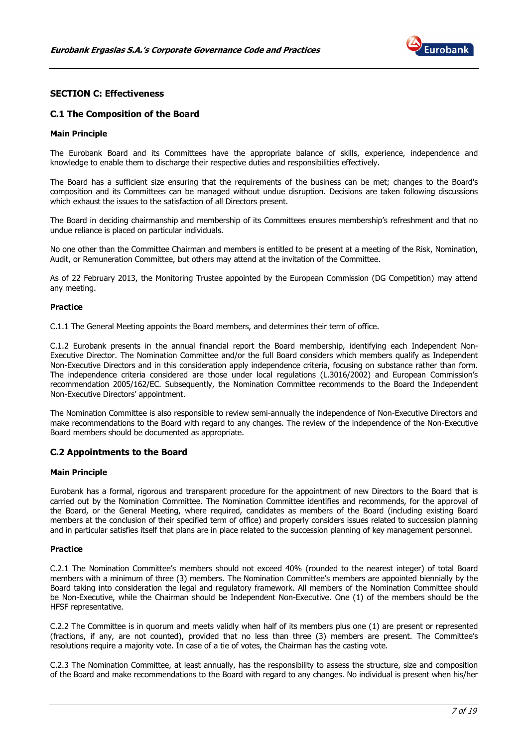

# SECTION C: Effectiveness

#### C.1 The Composition of the Board

#### Main Principle

The Eurobank Board and its Committees have the appropriate balance of skills, experience, independence and knowledge to enable them to discharge their respective duties and responsibilities effectively.

The Board has a sufficient size ensuring that the requirements of the business can be met; changes to the Board's composition and its Committees can be managed without undue disruption. Decisions are taken following discussions which exhaust the issues to the satisfaction of all Directors present.

The Board in deciding chairmanship and membership of its Committees ensures membership's refreshment and that no undue reliance is placed on particular individuals.

No one other than the Committee Chairman and members is entitled to be present at a meeting of the Risk, Nomination, Audit, or Remuneration Committee, but others may attend at the invitation of the Committee.

As of 22 February 2013, the Monitoring Trustee appointed by the European Commission (DG Competition) may attend any meeting.

#### Practice

C.1.1 The General Meeting appoints the Board members, and determines their term of office.

C.1.2 Eurobank presents in the annual financial report the Board membership, identifying each Independent Non-Executive Director. The Nomination Committee and/or the full Board considers which members qualify as Independent Non-Executive Directors and in this consideration apply independence criteria, focusing on substance rather than form. The independence criteria considered are those under local regulations (L.3016/2002) and European Commission's recommendation 2005/162/EC. Subsequently, the Nomination Committee recommends to the Board the Independent Non-Executive Directors' appointment.

The Nomination Committee is also responsible to review semi-annually the independence of Non-Executive Directors and make recommendations to the Board with regard to any changes. The review of the independence of the Non-Executive Board members should be documented as appropriate.

#### C.2 Appointments to the Board

#### Main Principle

Eurobank has a formal, rigorous and transparent procedure for the appointment of new Directors to the Board that is carried out by the Nomination Committee. The Nomination Committee identifies and recommends, for the approval of the Board, or the General Meeting, where required, candidates as members of the Board (including existing Board members at the conclusion of their specified term of office) and properly considers issues related to succession planning and in particular satisfies itself that plans are in place related to the succession planning of key management personnel.

#### Practice

C.2.1 The Nomination Committee's members should not exceed 40% (rounded to the nearest integer) of total Board members with a minimum of three (3) members. The Nomination Committee's members are appointed biennially by the Board taking into consideration the legal and regulatory framework. All members of the Nomination Committee should be Non-Executive, while the Chairman should be Independent Non-Executive. One (1) of the members should be the HFSF representative.

C.2.2 The Committee is in quorum and meets validly when half of its members plus one (1) are present or represented (fractions, if any, are not counted), provided that no less than three (3) members are present. The Committee's resolutions require a majority vote. In case of a tie of votes, the Chairman has the casting vote.

C.2.3 The Nomination Committee, at least annually, has the responsibility to assess the structure, size and composition of the Board and make recommendations to the Board with regard to any changes. No individual is present when his/her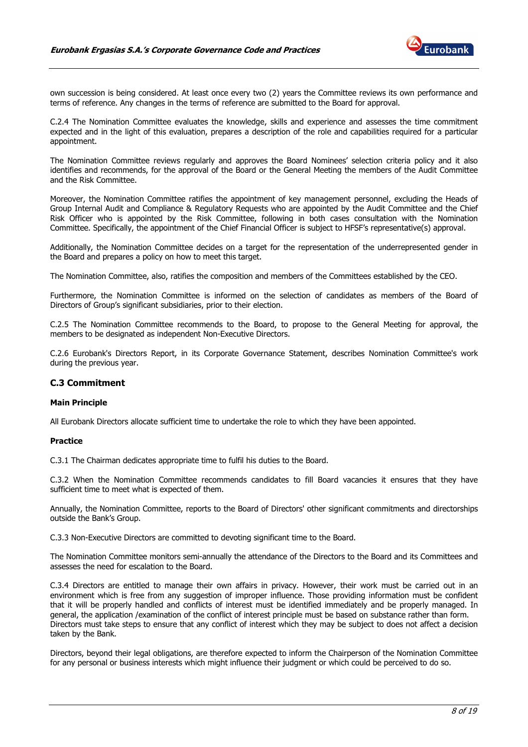

own succession is being considered. At least once every two (2) years the Committee reviews its own performance and terms of reference. Any changes in the terms of reference are submitted to the Board for approval.

C.2.4 The Nomination Committee evaluates the knowledge, skills and experience and assesses the time commitment expected and in the light of this evaluation, prepares a description of the role and capabilities required for a particular appointment.

The Nomination Committee reviews regularly and approves the Board Nominees' selection criteria policy and it also identifies and recommends, for the approval of the Board or the General Meeting the members of the Audit Committee and the Risk Committee.

Moreover, the Nomination Committee ratifies the appointment of key management personnel, excluding the Heads of Group Internal Audit and Compliance & Regulatory Requests who are appointed by the Audit Committee and the Chief Risk Officer who is appointed by the Risk Committee, following in both cases consultation with the Nomination Committee. Specifically, the appointment of the Chief Financial Officer is subject to HFSF's representative(s) approval.

Additionally, the Nomination Committee decides on a target for the representation of the underrepresented gender in the Board and prepares a policy on how to meet this target.

The Nomination Committee, also, ratifies the composition and members of the Committees established by the CEO.

Furthermore, the Nomination Committee is informed on the selection of candidates as members of the Board of Directors of Group's significant subsidiaries, prior to their election.

C.2.5 The Nomination Committee recommends to the Board, to propose to the General Meeting for approval, the members to be designated as independent Non-Executive Directors.

C.2.6 Eurobank's Directors Report, in its Corporate Governance Statement, describes Nomination Committee's work during the previous year.

#### C.3 Commitment

#### Main Principle

All Eurobank Directors allocate sufficient time to undertake the role to which they have been appointed.

#### Practice

C.3.1 The Chairman dedicates appropriate time to fulfil his duties to the Board.

C.3.2 When the Nomination Committee recommends candidates to fill Board vacancies it ensures that they have sufficient time to meet what is expected of them.

Annually, the Nomination Committee, reports to the Board of Directors' other significant commitments and directorships outside the Bank's Group.

C.3.3 Non-Executive Directors are committed to devoting significant time to the Board.

The Nomination Committee monitors semi-annually the attendance of the Directors to the Board and its Committees and assesses the need for escalation to the Board.

C.3.4 Directors are entitled to manage their own affairs in privacy. However, their work must be carried out in an environment which is free from any suggestion of improper influence. Those providing information must be confident that it will be properly handled and conflicts of interest must be identified immediately and be properly managed. In general, the application /examination of the conflict of interest principle must be based on substance rather than form. Directors must take steps to ensure that any conflict of interest which they may be subject to does not affect a decision taken by the Bank.

Directors, beyond their legal obligations, are therefore expected to inform the Chairperson of the Nomination Committee for any personal or business interests which might influence their judgment or which could be perceived to do so.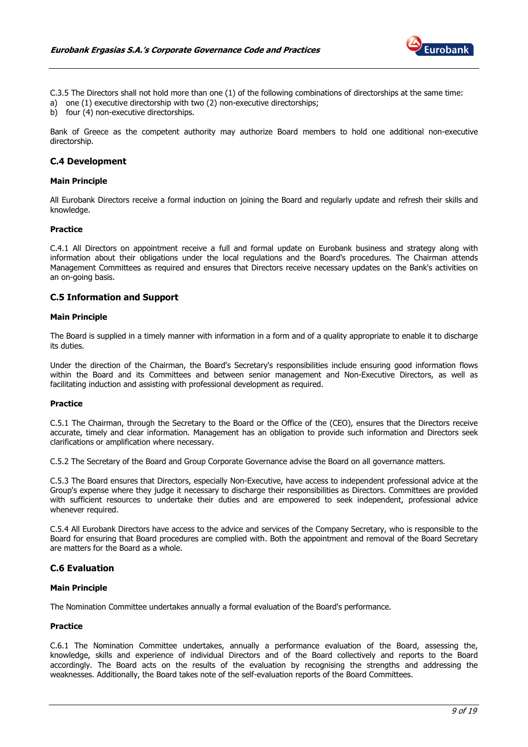

C.3.5 The Directors shall not hold more than one (1) of the following combinations of directorships at the same time: a) one (1) executive directorship with two (2) non-executive directorships;

b) four (4) non-executive directorships.

Bank of Greece as the competent authority may authorize Board members to hold one additional non-executive directorship.

# C.4 Development

#### Main Principle

All Eurobank Directors receive a formal induction on joining the Board and regularly update and refresh their skills and knowledge.

#### Practice

C.4.1 All Directors on appointment receive a full and formal update on Eurobank business and strategy along with information about their obligations under the local regulations and the Board's procedures. The Chairman attends Management Committees as required and ensures that Directors receive necessary updates on the Bank's activities on an on-going basis.

#### C.5 Information and Support

#### Main Principle

The Board is supplied in a timely manner with information in a form and of a quality appropriate to enable it to discharge its duties.

Under the direction of the Chairman, the Board's Secretary's responsibilities include ensuring good information flows within the Board and its Committees and between senior management and Non-Executive Directors, as well as facilitating induction and assisting with professional development as required.

#### Practice

C.5.1 The Chairman, through the Secretary to the Board or the Office of the (CEO), ensures that the Directors receive accurate, timely and clear information. Management has an obligation to provide such information and Directors seek clarifications or amplification where necessary.

C.5.2 The Secretary of the Board and Group Corporate Governance advise the Board on all governance matters.

C.5.3 The Board ensures that Directors, especially Non-Executive, have access to independent professional advice at the Group's expense where they judge it necessary to discharge their responsibilities as Directors. Committees are provided with sufficient resources to undertake their duties and are empowered to seek independent, professional advice whenever required.

C.5.4 All Eurobank Directors have access to the advice and services of the Company Secretary, who is responsible to the Board for ensuring that Board procedures are complied with. Both the appointment and removal of the Board Secretary are matters for the Board as a whole.

#### C.6 Evaluation

# Main Principle

The Nomination Committee undertakes annually a formal evaluation of the Board's performance.

#### Practice

C.6.1 The Nomination Committee undertakes, annually a performance evaluation of the Board, assessing the, knowledge, skills and experience of individual Directors and of the Board collectively and reports to the Board accordingly. The Board acts on the results of the evaluation by recognising the strengths and addressing the weaknesses. Additionally, the Board takes note of the self-evaluation reports of the Board Committees.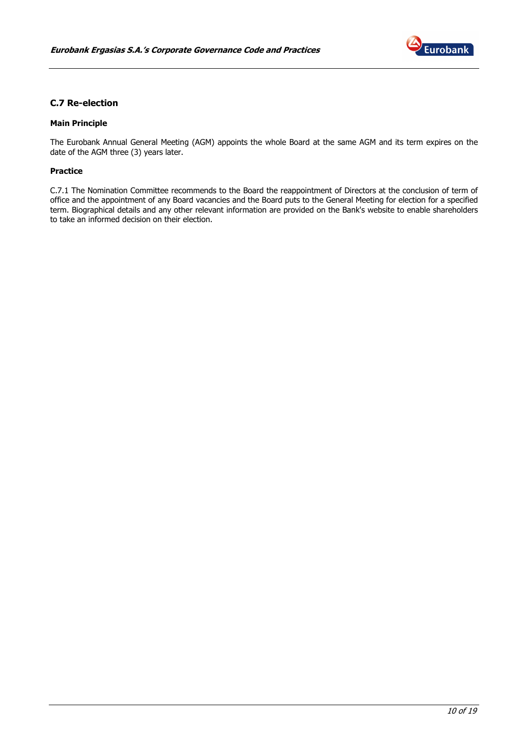

# C.7 Re-election

# Main Principle

The Eurobank Annual General Meeting (AGM) appoints the whole Board at the same AGM and its term expires on the date of the AGM three (3) years later.

#### Practice

C.7.1 The Nomination Committee recommends to the Board the reappointment of Directors at the conclusion of term of office and the appointment of any Board vacancies and the Board puts to the General Meeting for election for a specified term. Biographical details and any other relevant information are provided on the Bank's website to enable shareholders to take an informed decision on their election.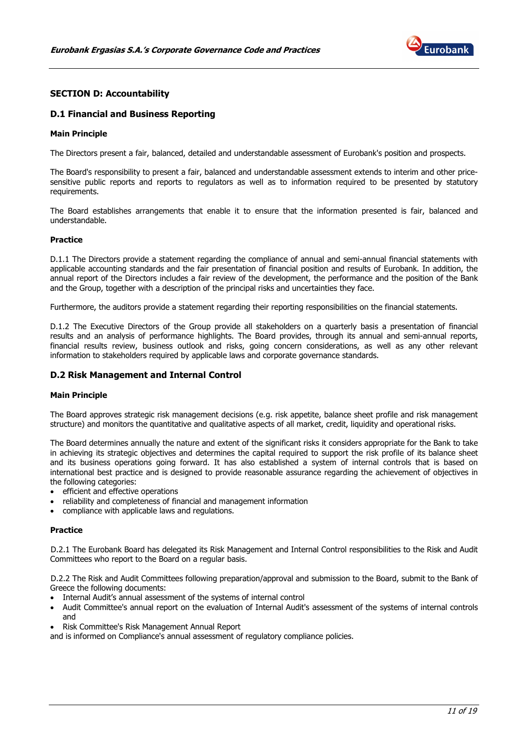

# SECTION D: Accountability

#### D.1 Financial and Business Reporting

#### Main Principle

The Directors present a fair, balanced, detailed and understandable assessment of Eurobank's position and prospects.

The Board's responsibility to present a fair, balanced and understandable assessment extends to interim and other pricesensitive public reports and reports to regulators as well as to information required to be presented by statutory requirements.

The Board establishes arrangements that enable it to ensure that the information presented is fair, balanced and understandable.

#### Practice

D.1.1 The Directors provide a statement regarding the compliance of annual and semi-annual financial statements with applicable accounting standards and the fair presentation of financial position and results of Eurobank. In addition, the annual report of the Directors includes a fair review of the development, the performance and the position of the Bank and the Group, together with a description of the principal risks and uncertainties they face.

Furthermore, the auditors provide a statement regarding their reporting responsibilities on the financial statements.

D.1.2 The Executive Directors of the Group provide all stakeholders on a quarterly basis a presentation of financial results and an analysis of performance highlights. The Board provides, through its annual and semi-annual reports, financial results review, business outlook and risks, going concern considerations, as well as any other relevant information to stakeholders required by applicable laws and corporate governance standards.

#### D.2 Risk Management and Internal Control

#### Main Principle

The Board approves strategic risk management decisions (e.g. risk appetite, balance sheet profile and risk management structure) and monitors the quantitative and qualitative aspects of all market, credit, liquidity and operational risks.

The Board determines annually the nature and extent of the significant risks it considers appropriate for the Bank to take in achieving its strategic objectives and determines the capital required to support the risk profile of its balance sheet and its business operations going forward. It has also established a system of internal controls that is based on international best practice and is designed to provide reasonable assurance regarding the achievement of objectives in the following categories:

- efficient and effective operations
- reliability and completeness of financial and management information
- compliance with applicable laws and regulations.

#### Practice

D.2.1 The Eurobank Board has delegated its Risk Management and Internal Control responsibilities to the Risk and Audit Committees who report to the Board on a regular basis.

D.2.2 The Risk and Audit Committees following preparation/approval and submission to the Board, submit to the Bank of Greece the following documents:

- Internal Audit's annual assessment of the systems of internal control
- Audit Committee's annual report on the evaluation of Internal Audit's assessment of the systems of internal controls and
- Risk Committee's Risk Management Annual Report

and is informed on Compliance's annual assessment of regulatory compliance policies.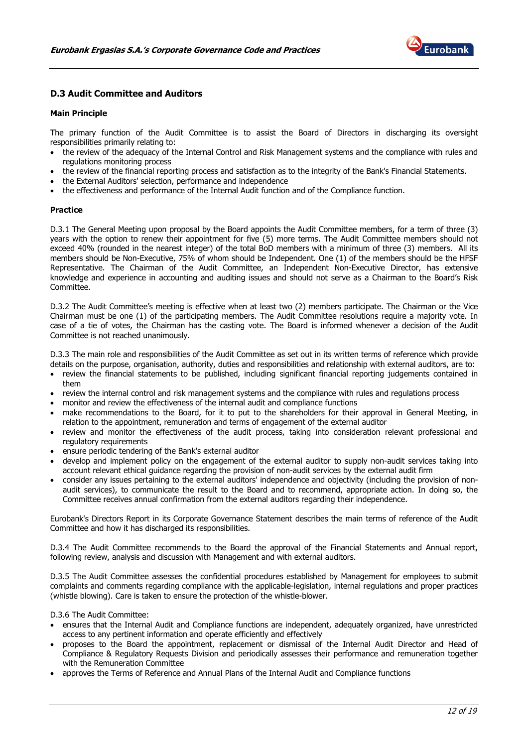

# D.3 Audit Committee and Auditors

#### Main Principle

The primary function of the Audit Committee is to assist the Board of Directors in discharging its oversight responsibilities primarily relating to:

- the review of the adequacy of the Internal Control and Risk Management systems and the compliance with rules and regulations monitoring process
- the review of the financial reporting process and satisfaction as to the integrity of the Bank's Financial Statements.
- the External Auditors' selection, performance and independence
- the effectiveness and performance of the Internal Audit function and of the Compliance function.

#### Practice

D.3.1 The General Meeting upon proposal by the Board appoints the Audit Committee members, for a term of three (3) years with the option to renew their appointment for five (5) more terms. The Audit Committee members should not exceed 40% (rounded in the nearest integer) of the total BoD members with a minimum of three (3) members. All its members should be Non-Executive, 75% of whom should be Independent. One (1) of the members should be the HFSF Representative. The Chairman of the Audit Committee, an Independent Non-Executive Director, has extensive knowledge and experience in accounting and auditing issues and should not serve as a Chairman to the Board's Risk Committee.

D.3.2 The Audit Committee's meeting is effective when at least two (2) members participate. The Chairman or the Vice Chairman must be one (1) of the participating members. The Audit Committee resolutions require a majority vote. In case of a tie of votes, the Chairman has the casting vote. The Board is informed whenever a decision of the Audit Committee is not reached unanimously.

D.3.3 The main role and responsibilities of the Audit Committee as set out in its written terms of reference which provide details on the purpose, organisation, authority, duties and responsibilities and relationship with external auditors, are to:

- review the financial statements to be published, including significant financial reporting judgements contained in them
- review the internal control and risk management systems and the compliance with rules and regulations process
- monitor and review the effectiveness of the internal audit and compliance functions
- make recommendations to the Board, for it to put to the shareholders for their approval in General Meeting, in relation to the appointment, remuneration and terms of engagement of the external auditor
- review and monitor the effectiveness of the audit process, taking into consideration relevant professional and regulatory requirements
- ensure periodic tendering of the Bank's external auditor
- develop and implement policy on the engagement of the external auditor to supply non-audit services taking into account relevant ethical guidance regarding the provision of non-audit services by the external audit firm
- consider any issues pertaining to the external auditors' independence and objectivity (including the provision of nonaudit services), to communicate the result to the Board and to recommend, appropriate action. In doing so, the Committee receives annual confirmation from the external auditors regarding their independence.

Eurobank's Directors Report in its Corporate Governance Statement describes the main terms of reference of the Audit Committee and how it has discharged its responsibilities.

D.3.4 The Audit Committee recommends to the Board the approval of the Financial Statements and Annual report, following review, analysis and discussion with Management and with external auditors.

D.3.5 The Audit Committee assesses the confidential procedures established by Management for employees to submit complaints and comments regarding compliance with the applicable-legislation, internal regulations and proper practices (whistle blowing). Care is taken to ensure the protection of the whistle-blower.

D.3.6 The Audit Committee:

- ensures that the Internal Audit and Compliance functions are independent, adequately organized, have unrestricted access to any pertinent information and operate efficiently and effectively
- proposes to the Board the appointment, replacement or dismissal of the Internal Audit Director and Head of Compliance & Regulatory Requests Division and periodically assesses their performance and remuneration together with the Remuneration Committee
- approves the Terms of Reference and Annual Plans of the Internal Audit and Compliance functions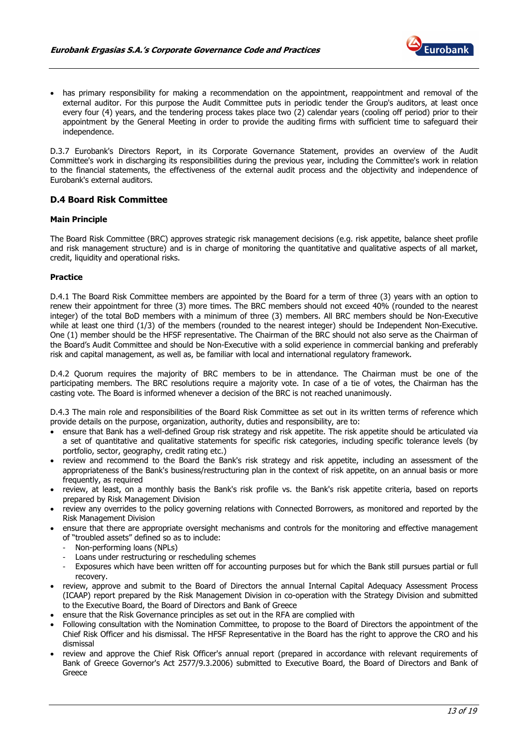

• has primary responsibility for making a recommendation on the appointment, reappointment and removal of the external auditor. For this purpose the Audit Committee puts in periodic tender the Group's auditors, at least once every four (4) years, and the tendering process takes place two (2) calendar years (cooling off period) prior to their appointment by the General Meeting in order to provide the auditing firms with sufficient time to safeguard their independence.

D.3.7 Eurobank's Directors Report, in its Corporate Governance Statement, provides an overview of the Audit Committee's work in discharging its responsibilities during the previous year, including the Committee's work in relation to the financial statements, the effectiveness of the external audit process and the objectivity and independence of Eurobank's external auditors.

# D.4 Board Risk Committee

#### Main Principle

The Board Risk Committee (BRC) approves strategic risk management decisions (e.g. risk appetite, balance sheet profile and risk management structure) and is in charge of monitoring the quantitative and qualitative aspects of all market, credit, liquidity and operational risks.

#### Practice

D.4.1 The Board Risk Committee members are appointed by the Board for a term of three (3) years with an option to renew their appointment for three (3) more times. The BRC members should not exceed 40% (rounded to the nearest integer) of the total BoD members with a minimum of three (3) members. All BRC members should be Non-Executive while at least one third (1/3) of the members (rounded to the nearest integer) should be Independent Non-Executive. One (1) member should be the HFSF representative. The Chairman of the BRC should not also serve as the Chairman of the Board's Audit Committee and should be Non-Executive with a solid experience in commercial banking and preferably risk and capital management, as well as, be familiar with local and international regulatory framework.

D.4.2 Quorum requires the majority of BRC members to be in attendance. The Chairman must be one of the participating members. The BRC resolutions require a majority vote. In case of a tie of votes, the Chairman has the casting vote. The Board is informed whenever a decision of the BRC is not reached unanimously.

D.4.3 The main role and responsibilities of the Board Risk Committee as set out in its written terms of reference which provide details on the purpose, organization, authority, duties and responsibility, are to:

- ensure that Bank has a well-defined Group risk strategy and risk appetite. The risk appetite should be articulated via a set of quantitative and qualitative statements for specific risk categories, including specific tolerance levels (by portfolio, sector, geography, credit rating etc.)
- review and recommend to the Board the Bank's risk strategy and risk appetite, including an assessment of the appropriateness of the Bank's business/restructuring plan in the context of risk appetite, on an annual basis or more frequently, as required
- review, at least, on a monthly basis the Bank's risk profile vs. the Bank's risk appetite criteria, based on reports prepared by Risk Management Division
- review any overrides to the policy governing relations with Connected Borrowers, as monitored and reported by the Risk Management Division
- ensure that there are appropriate oversight mechanisms and controls for the monitoring and effective management of "troubled assets" defined so as to include:
	- Non-performing loans (NPLs)
	- Loans under restructuring or rescheduling schemes
	- Exposures which have been written off for accounting purposes but for which the Bank still pursues partial or full recovery.
- review, approve and submit to the Board of Directors the annual Internal Capital Adequacy Assessment Process (ICAAP) report prepared by the Risk Management Division in co-operation with the Strategy Division and submitted to the Executive Board, the Board of Directors and Bank of Greece
- ensure that the Risk Governance principles as set out in the RFA are complied with
- Following consultation with the Nomination Committee, to propose to the Board of Directors the appointment of the Chief Risk Officer and his dismissal. The HFSF Representative in the Board has the right to approve the CRO and his dismissal
- review and approve the Chief Risk Officer's annual report (prepared in accordance with relevant requirements of Bank of Greece Governor's Act 2577/9.3.2006) submitted to Executive Board, the Board of Directors and Bank of Greece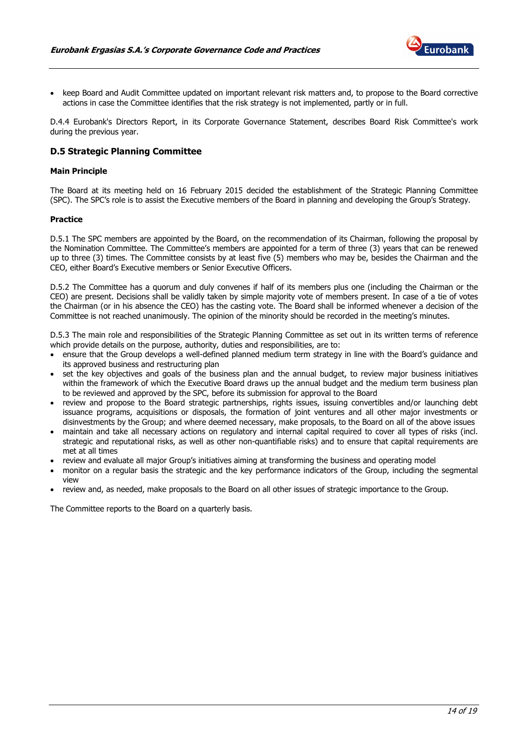

• keep Board and Audit Committee updated on important relevant risk matters and, to propose to the Board corrective actions in case the Committee identifies that the risk strategy is not implemented, partly or in full.

D.4.4 Eurobank's Directors Report, in its Corporate Governance Statement, describes Board Risk Committee's work during the previous year.

# D.5 Strategic Planning Committee

#### Main Principle

The Board at its meeting held on 16 February 2015 decided the establishment of the Strategic Planning Committee (SPC). The SPC's role is to assist the Executive members of the Board in planning and developing the Group's Strategy.

#### Practice

D.5.1 The SPC members are appointed by the Board, on the recommendation of its Chairman, following the proposal by the Nomination Committee. The Committee's members are appointed for a term of three (3) years that can be renewed up to three (3) times. The Committee consists by at least five (5) members who may be, besides the Chairman and the CEO, either Board's Executive members or Senior Executive Officers.

D.5.2 The Committee has a quorum and duly convenes if half of its members plus one (including the Chairman or the CEO) are present. Decisions shall be validly taken by simple majority vote of members present. In case of a tie of votes the Chairman (or in his absence the CEO) has the casting vote. The Board shall be informed whenever a decision of the Committee is not reached unanimously. The opinion of the minority should be recorded in the meeting's minutes.

D.5.3 The main role and responsibilities of the Strategic Planning Committee as set out in its written terms of reference which provide details on the purpose, authority, duties and responsibilities, are to:

- ensure that the Group develops a well-defined planned medium term strategy in line with the Board's guidance and its approved business and restructuring plan
- set the key objectives and goals of the business plan and the annual budget, to review major business initiatives within the framework of which the Executive Board draws up the annual budget and the medium term business plan to be reviewed and approved by the SPC, before its submission for approval to the Board
- review and propose to the Board strategic partnerships, rights issues, issuing convertibles and/or launching debt issuance programs, acquisitions or disposals, the formation of joint ventures and all other major investments or disinvestments by the Group; and where deemed necessary, make proposals, to the Board on all of the above issues
- maintain and take all necessary actions on regulatory and internal capital required to cover all types of risks (incl. strategic and reputational risks, as well as other non-quantifiable risks) and to ensure that capital requirements are met at all times
- review and evaluate all major Group's initiatives aiming at transforming the business and operating model
- monitor on a regular basis the strategic and the key performance indicators of the Group, including the segmental view
- review and, as needed, make proposals to the Board on all other issues of strategic importance to the Group.

The Committee reports to the Board on a quarterly basis.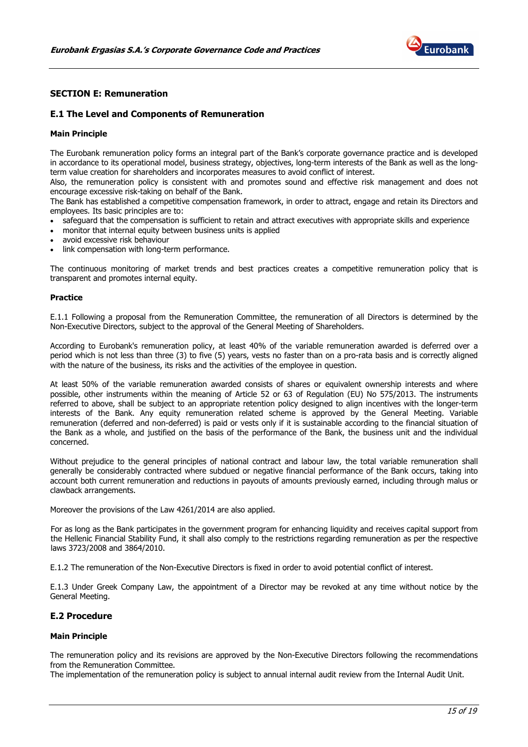

# SECTION E: Remuneration

#### E.1 The Level and Components of Remuneration

#### Main Principle

The Eurobank remuneration policy forms an integral part of the Bank's corporate governance practice and is developed in accordance to its operational model, business strategy, objectives, long-term interests of the Bank as well as the longterm value creation for shareholders and incorporates measures to avoid conflict of interest.

Also, the remuneration policy is consistent with and promotes sound and effective risk management and does not encourage excessive risk-taking on behalf of the Bank.

The Bank has established a competitive compensation framework, in order to attract, engage and retain its Directors and employees. Its basic principles are to:

- safeguard that the compensation is sufficient to retain and attract executives with appropriate skills and experience
- monitor that internal equity between business units is applied
- avoid excessive risk behaviour
- link compensation with long-term performance.

The continuous monitoring of market trends and best practices creates a competitive remuneration policy that is transparent and promotes internal equity.

#### **Practice**

E.1.1 Following a proposal from the Remuneration Committee, the remuneration of all Directors is determined by the Non-Executive Directors, subject to the approval of the General Meeting of Shareholders.

According to Eurobank's remuneration policy, at least 40% of the variable remuneration awarded is deferred over a period which is not less than three (3) to five (5) years, vests no faster than on a pro-rata basis and is correctly aligned with the nature of the business, its risks and the activities of the employee in question.

At least 50% of the variable remuneration awarded consists of shares or equivalent ownership interests and where possible, other instruments within the meaning of Article 52 or 63 of Regulation (EU) No 575/2013. The instruments referred to above, shall be subject to an appropriate retention policy designed to align incentives with the longer-term interests of the Bank. Any equity remuneration related scheme is approved by the General Meeting. Variable remuneration (deferred and non-deferred) is paid or vests only if it is sustainable according to the financial situation of the Bank as a whole, and justified on the basis of the performance of the Bank, the business unit and the individual concerned.

Without prejudice to the general principles of national contract and labour law, the total variable remuneration shall generally be considerably contracted where subdued or negative financial performance of the Bank occurs, taking into account both current remuneration and reductions in payouts of amounts previously earned, including through malus or clawback arrangements.

Moreover the provisions of the Law 4261/2014 are also applied.

For as long as the Bank participates in the government program for enhancing liquidity and receives capital support from the Hellenic Financial Stability Fund, it shall also comply to the restrictions regarding remuneration as per the respective laws 3723/2008 and 3864/2010.

E.1.2 The remuneration of the Non-Executive Directors is fixed in order to avoid potential conflict of interest.

E.1.3 Under Greek Company Law, the appointment of a Director may be revoked at any time without notice by the General Meeting.

# E.2 Procedure

#### Main Principle

The remuneration policy and its revisions are approved by the Non-Executive Directors following the recommendations from the Remuneration Committee.

The implementation of the remuneration policy is subject to annual internal audit review from the Internal Audit Unit.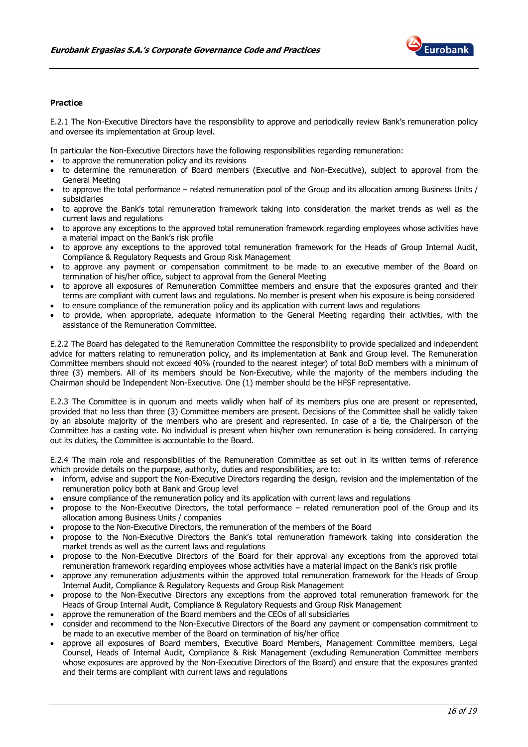

#### Practice

E.2.1 The Non-Executive Directors have the responsibility to approve and periodically review Bank's remuneration policy and oversee its implementation at Group level.

In particular the Non-Executive Directors have the following responsibilities regarding remuneration:

- to approve the remuneration policy and its revisions
- to determine the remuneration of Board members (Executive and Non-Executive), subject to approval from the General Meeting
- to approve the total performance related remuneration pool of the Group and its allocation among Business Units / subsidiaries
- to approve the Bank's total remuneration framework taking into consideration the market trends as well as the current laws and regulations
- to approve any exceptions to the approved total remuneration framework regarding employees whose activities have a material impact on the Bank's risk profile
- to approve any exceptions to the approved total remuneration framework for the Heads of Group Internal Audit, Compliance & Regulatory Requests and Group Risk Management
- to approve any payment or compensation commitment to be made to an executive member of the Board on termination of his/her office, subject to approval from the General Meeting
- to approve all exposures of Remuneration Committee members and ensure that the exposures granted and their terms are compliant with current laws and regulations. No member is present when his exposure is being considered
- to ensure compliance of the remuneration policy and its application with current laws and regulations
- to provide, when appropriate, adequate information to the General Meeting regarding their activities, with the assistance of the Remuneration Committee.

E.2.2 The Board has delegated to the Remuneration Committee the responsibility to provide specialized and independent advice for matters relating to remuneration policy, and its implementation at Bank and Group level. The Remuneration Committee members should not exceed 40% (rounded to the nearest integer) of total BoD members with a minimum of three (3) members. All of its members should be Non-Executive, while the majority of the members including the Chairman should be Independent Non-Executive. One (1) member should be the HFSF representative.

E.2.3 The Committee is in quorum and meets validly when half of its members plus one are present or represented, provided that no less than three (3) Committee members are present. Decisions of the Committee shall be validly taken by an absolute majority of the members who are present and represented. In case of a tie, the Chairperson of the Committee has a casting vote. No individual is present when his/her own remuneration is being considered. In carrying out its duties, the Committee is accountable to the Board.

E.2.4 The main role and responsibilities of the Remuneration Committee as set out in its written terms of reference which provide details on the purpose, authority, duties and responsibilities, are to:

- inform, advise and support the Non-Executive Directors regarding the design, revision and the implementation of the remuneration policy both at Bank and Group level
- ensure compliance of the remuneration policy and its application with current laws and regulations
- propose to the Non-Executive Directors, the total performance related remuneration pool of the Group and its allocation among Business Units / companies
- propose to the Non-Executive Directors, the remuneration of the members of the Board
- propose to the Non-Executive Directors the Bank's total remuneration framework taking into consideration the market trends as well as the current laws and regulations
- propose to the Non-Executive Directors of the Board for their approval any exceptions from the approved total remuneration framework regarding employees whose activities have a material impact on the Bank's risk profile
- approve any remuneration adjustments within the approved total remuneration framework for the Heads of Group Internal Audit, Compliance & Regulatory Requests and Group Risk Management
- propose to the Non-Executive Directors any exceptions from the approved total remuneration framework for the Heads of Group Internal Audit, Compliance & Regulatory Requests and Group Risk Management
- approve the remuneration of the Board members and the CEOs of all subsidiaries
- consider and recommend to the Non-Executive Directors of the Board any payment or compensation commitment to be made to an executive member of the Board on termination of his/her office
- approve all exposures of Board members, Executive Board Members, Management Committee members, Legal Counsel, Heads of Internal Audit, Compliance & Risk Management (excluding Remuneration Committee members whose exposures are approved by the Non-Executive Directors of the Board) and ensure that the exposures granted and their terms are compliant with current laws and regulations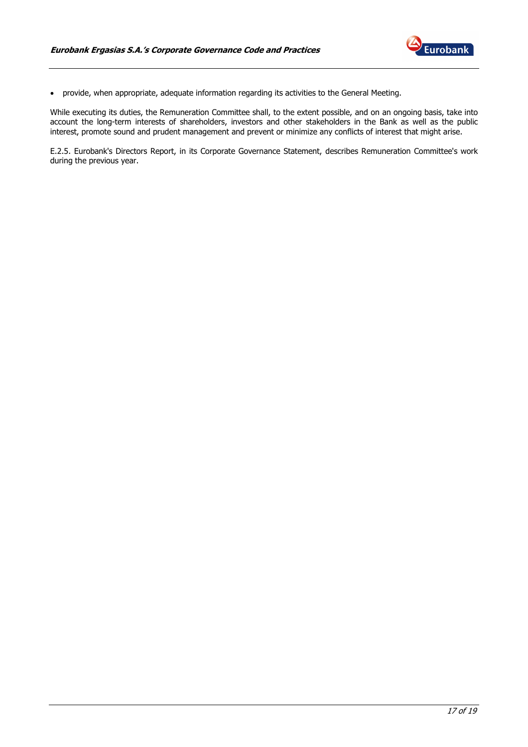

• provide, when appropriate, adequate information regarding its activities to the General Meeting.

While executing its duties, the Remuneration Committee shall, to the extent possible, and on an ongoing basis, take into account the long-term interests of shareholders, investors and other stakeholders in the Bank as well as the public interest, promote sound and prudent management and prevent or minimize any conflicts of interest that might arise.

E.2.5. Eurobank's Directors Report, in its Corporate Governance Statement, describes Remuneration Committee's work during the previous year.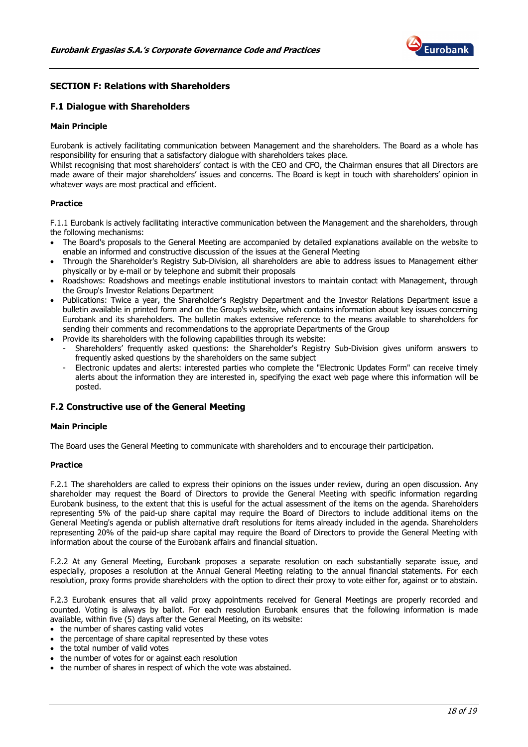

# SECTION F: Relations with Shareholders

# F.1 Dialogue with Shareholders

#### Main Principle

Eurobank is actively facilitating communication between Management and the shareholders. The Board as a whole has responsibility for ensuring that a satisfactory dialogue with shareholders takes place.

Whilst recognising that most shareholders' contact is with the CEO and CFO, the Chairman ensures that all Directors are made aware of their major shareholders' issues and concerns. The Board is kept in touch with shareholders' opinion in whatever ways are most practical and efficient.

#### Practice

F.1.1 Eurobank is actively facilitating interactive communication between the Management and the shareholders, through the following mechanisms:

- The Board's proposals to the General Meeting are accompanied by detailed explanations available on the website to enable an informed and constructive discussion of the issues at the General Meeting
- Through the Shareholder's Registry Sub-Division, all shareholders are able to address issues to Management either physically or by e-mail or by telephone and submit their proposals
- Roadshows: Roadshows and meetings enable institutional investors to maintain contact with Management, through the Group's Investor Relations Department
- Publications: Twice a year, the Shareholder's Registry Department and the Investor Relations Department issue a bulletin available in printed form and on the Group's website, which contains information about key issues concerning Eurobank and its shareholders. The bulletin makes extensive reference to the means available to shareholders for sending their comments and recommendations to the appropriate Departments of the Group
- Provide its shareholders with the following capabilities through its website:
	- Shareholders' frequently asked questions: the Shareholder's Registry Sub-Division gives uniform answers to frequently asked questions by the shareholders on the same subject
	- Electronic updates and alerts: interested parties who complete the "Electronic Updates Form" can receive timely alerts about the information they are interested in, specifying the exact web page where this information will be posted.

#### F.2 Constructive use of the General Meeting

#### Main Principle

The Board uses the General Meeting to communicate with shareholders and to encourage their participation.

#### Practice

F.2.1 The shareholders are called to express their opinions on the issues under review, during an open discussion. Any shareholder may request the Board of Directors to provide the General Meeting with specific information regarding Eurobank business, to the extent that this is useful for the actual assessment of the items on the agenda. Shareholders representing 5% of the paid-up share capital may require the Board of Directors to include additional items on the General Meeting's agenda or publish alternative draft resolutions for items already included in the agenda. Shareholders representing 20% of the paid-up share capital may require the Board of Directors to provide the General Meeting with information about the course of the Eurobank affairs and financial situation.

F.2.2 At any General Meeting, Eurobank proposes a separate resolution on each substantially separate issue, and especially, proposes a resolution at the Annual General Meeting relating to the annual financial statements. For each resolution, proxy forms provide shareholders with the option to direct their proxy to vote either for, against or to abstain.

F.2.3 Eurobank ensures that all valid proxy appointments received for General Meetings are properly recorded and counted. Voting is always by ballot. For each resolution Eurobank ensures that the following information is made available, within five (5) days after the General Meeting, on its website:

- the number of shares casting valid votes
- the percentage of share capital represented by these votes
- the total number of valid votes
- the number of votes for or against each resolution
- the number of shares in respect of which the vote was abstained.